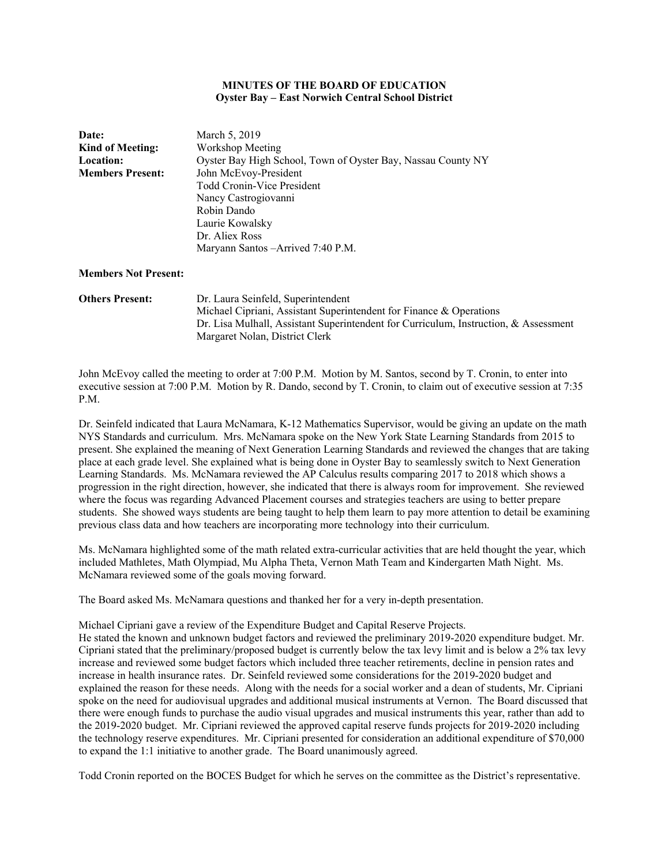### **MINUTES OF THE BOARD OF EDUCATION Oyster Bay – East Norwich Central School District**

| Date:                                       | March 5, 2019                                                                        |  |  |  |
|---------------------------------------------|--------------------------------------------------------------------------------------|--|--|--|
| <b>Kind of Meeting:</b><br>Workshop Meeting |                                                                                      |  |  |  |
| <b>Location:</b>                            | Oyster Bay High School, Town of Oyster Bay, Nassau County NY                         |  |  |  |
| <b>Members Present:</b>                     | John McEvoy-President                                                                |  |  |  |
|                                             | <b>Todd Cronin-Vice President</b>                                                    |  |  |  |
|                                             | Nancy Castrogiovanni                                                                 |  |  |  |
|                                             | Robin Dando                                                                          |  |  |  |
|                                             | Laurie Kowalsky                                                                      |  |  |  |
|                                             | Dr. Aliex Ross                                                                       |  |  |  |
|                                             | Maryann Santos - Arrived 7:40 P.M.                                                   |  |  |  |
| <b>Members Not Present:</b>                 |                                                                                      |  |  |  |
| <b>Others Present:</b>                      | Dr. Laura Seinfeld, Superintendent                                                   |  |  |  |
|                                             | Michael Cipriani, Assistant Superintendent for Finance & Operations                  |  |  |  |
|                                             | Dr. Lisa Mulhall, Assistant Superintendent for Curriculum, Instruction, & Assessment |  |  |  |

Margaret Nolan, District Clerk

John McEvoy called the meeting to order at 7:00 P.M. Motion by M. Santos, second by T. Cronin, to enter into executive session at 7:00 P.M. Motion by R. Dando, second by T. Cronin, to claim out of executive session at 7:35 P.M.

Dr. Seinfeld indicated that Laura McNamara, K-12 Mathematics Supervisor, would be giving an update on the math NYS Standards and curriculum. Mrs. McNamara spoke on the New York State Learning Standards from 2015 to present. She explained the meaning of Next Generation Learning Standards and reviewed the changes that are taking place at each grade level. She explained what is being done in Oyster Bay to seamlessly switch to Next Generation Learning Standards. Ms. McNamara reviewed the AP Calculus results comparing 2017 to 2018 which shows a progression in the right direction, however, she indicated that there is always room for improvement. She reviewed where the focus was regarding Advanced Placement courses and strategies teachers are using to better prepare students. She showed ways students are being taught to help them learn to pay more attention to detail be examining previous class data and how teachers are incorporating more technology into their curriculum.

Ms. McNamara highlighted some of the math related extra-curricular activities that are held thought the year, which included Mathletes, Math Olympiad, Mu Alpha Theta, Vernon Math Team and Kindergarten Math Night. Ms. McNamara reviewed some of the goals moving forward.

The Board asked Ms. McNamara questions and thanked her for a very in-depth presentation.

Michael Cipriani gave a review of the Expenditure Budget and Capital Reserve Projects.

He stated the known and unknown budget factors and reviewed the preliminary 2019-2020 expenditure budget. Mr. Cipriani stated that the preliminary/proposed budget is currently below the tax levy limit and is below a 2% tax levy increase and reviewed some budget factors which included three teacher retirements, decline in pension rates and increase in health insurance rates. Dr. Seinfeld reviewed some considerations for the 2019-2020 budget and explained the reason for these needs. Along with the needs for a social worker and a dean of students, Mr. Cipriani spoke on the need for audiovisual upgrades and additional musical instruments at Vernon. The Board discussed that there were enough funds to purchase the audio visual upgrades and musical instruments this year, rather than add to the 2019-2020 budget. Mr. Cipriani reviewed the approved capital reserve funds projects for 2019-2020 including the technology reserve expenditures. Mr. Cipriani presented for consideration an additional expenditure of \$70,000 to expand the 1:1 initiative to another grade. The Board unanimously agreed.

Todd Cronin reported on the BOCES Budget for which he serves on the committee as the District's representative.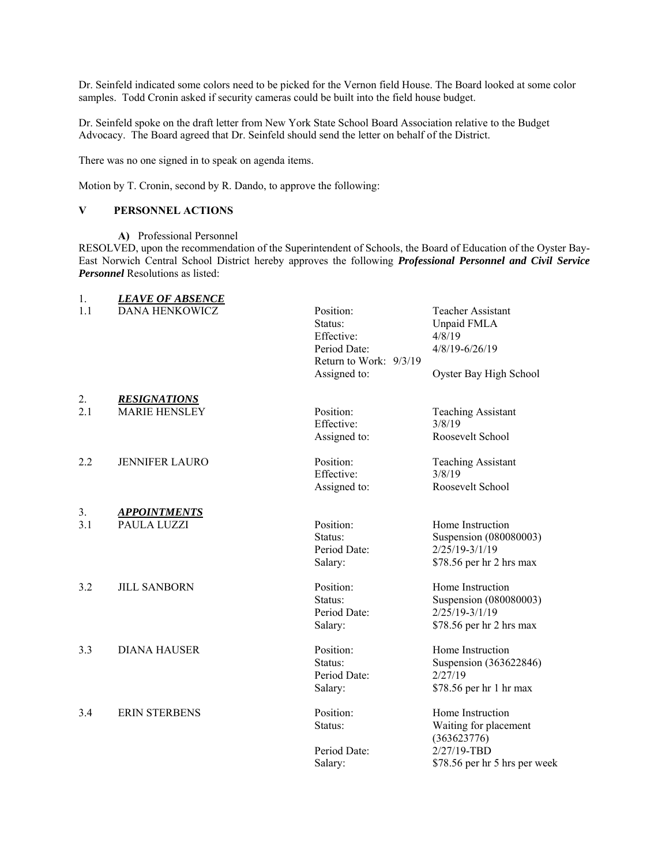Dr. Seinfeld indicated some colors need to be picked for the Vernon field House. The Board looked at some color samples. Todd Cronin asked if security cameras could be built into the field house budget.

Dr. Seinfeld spoke on the draft letter from New York State School Board Association relative to the Budget Advocacy. The Board agreed that Dr. Seinfeld should send the letter on behalf of the District.

There was no one signed in to speak on agenda items.

Motion by T. Cronin, second by R. Dando, to approve the following:

## **V PERSONNEL ACTIONS**

**A)** Professional Personnel

RESOLVED, upon the recommendation of the Superintendent of Schools, the Board of Education of the Oyster Bay-East Norwich Central School District hereby approves the following *Professional Personnel and Civil Service Personnel* Resolutions as listed:

| 1.  | <b>LEAVE OF ABSENCE</b> |                                                    |                                                                                            |
|-----|-------------------------|----------------------------------------------------|--------------------------------------------------------------------------------------------|
| 1.1 | <b>DANA HENKOWICZ</b>   | Position:<br>Status:<br>Effective:<br>Period Date: | Teacher Assistant<br>Unpaid FMLA<br>4/8/19<br>4/8/19-6/26/19                               |
|     |                         | Return to Work: 9/3/19<br>Assigned to:             | Oyster Bay High School                                                                     |
| 2.  | <b>RESIGNATIONS</b>     |                                                    |                                                                                            |
| 2.1 | <b>MARIE HENSLEY</b>    | Position:<br>Effective:                            | <b>Teaching Assistant</b><br>3/8/19                                                        |
|     |                         | Assigned to:                                       | Roosevelt School                                                                           |
| 2.2 | <b>JENNIFER LAURO</b>   | Position:<br>Effective:                            | <b>Teaching Assistant</b><br>3/8/19                                                        |
|     |                         | Assigned to:                                       | Roosevelt School                                                                           |
| 3.  | <b>APPOINTMENTS</b>     |                                                    |                                                                                            |
| 3.1 | PAULA LUZZI             | Position:<br>Status:<br>Period Date:<br>Salary:    | Home Instruction<br>Suspension (080080003)<br>2/25/19-3/1/19<br>\$78.56 per hr 2 hrs max   |
|     |                         |                                                    |                                                                                            |
| 3.2 | <b>JILL SANBORN</b>     | Position:<br>Status:<br>Period Date:<br>Salary:    | Home Instruction<br>Suspension (080080003)<br>$2/25/19-3/1/19$<br>\$78.56 per hr 2 hrs max |
| 3.3 | <b>DIANA HAUSER</b>     | Position:<br>Status:<br>Period Date:<br>Salary:    | Home Instruction<br>Suspension (363622846)<br>2/27/19<br>\$78.56 per hr 1 hr max           |
|     |                         |                                                    |                                                                                            |
| 3.4 | <b>ERIN STERBENS</b>    | Position:<br>Status:                               | Home Instruction<br>Waiting for placement<br>(363623776)                                   |
|     |                         | Period Date:<br>Salary:                            | 2/27/19-TBD<br>\$78.56 per hr 5 hrs per week                                               |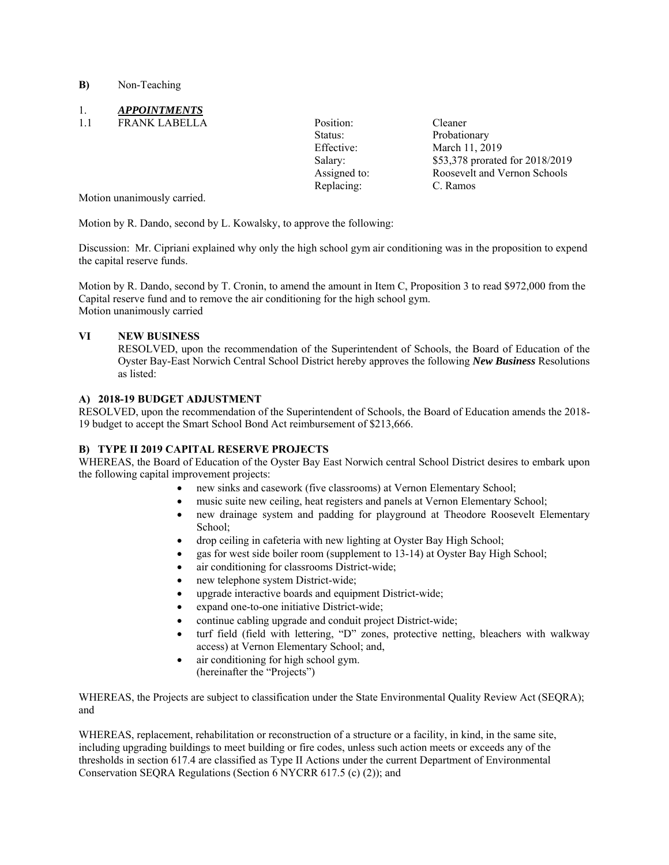**B)** Non-Teaching

# 1. *APPOINTMENTS*

1.1 FRANK LABELLA Position: Cleaner

Replacing: C. Ramos

Status: Probationary Effective: March 11, 2019 Salary: \$53,378 prorated for 2018/2019 Assigned to: Roosevelt and Vernon Schools

Motion unanimously carried.

Motion by R. Dando, second by L. Kowalsky, to approve the following:

Discussion: Mr. Cipriani explained why only the high school gym air conditioning was in the proposition to expend the capital reserve funds.

Motion by R. Dando, second by T. Cronin, to amend the amount in Item C, Proposition 3 to read \$972,000 from the Capital reserve fund and to remove the air conditioning for the high school gym. Motion unanimously carried

## **VI NEW BUSINESS**

RESOLVED, upon the recommendation of the Superintendent of Schools, the Board of Education of the Oyster Bay-East Norwich Central School District hereby approves the following *New Business* Resolutions as listed:

### **A) 2018-19 BUDGET ADJUSTMENT**

RESOLVED, upon the recommendation of the Superintendent of Schools, the Board of Education amends the 2018- 19 budget to accept the Smart School Bond Act reimbursement of \$213,666.

### **B) TYPE II 2019 CAPITAL RESERVE PROJECTS**

WHEREAS, the Board of Education of the Oyster Bay East Norwich central School District desires to embark upon the following capital improvement projects:

- new sinks and casework (five classrooms) at Vernon Elementary School;
- music suite new ceiling, heat registers and panels at Vernon Elementary School;
- new drainage system and padding for playground at Theodore Roosevelt Elementary School;
- drop ceiling in cafeteria with new lighting at Oyster Bay High School;
- gas for west side boiler room (supplement to 13-14) at Oyster Bay High School;
- air conditioning for classrooms District-wide;
- new telephone system District-wide;
- upgrade interactive boards and equipment District-wide;
- expand one-to-one initiative District-wide;
- continue cabling upgrade and conduit project District-wide;
- turf field (field with lettering, "D" zones, protective netting, bleachers with walkway access) at Vernon Elementary School; and,
- air conditioning for high school gym. (hereinafter the "Projects")

WHEREAS, the Projects are subject to classification under the State Environmental Quality Review Act (SEQRA); and

WHEREAS, replacement, rehabilitation or reconstruction of a structure or a facility, in kind, in the same site, including upgrading buildings to meet building or fire codes, unless such action meets or exceeds any of the thresholds in section 617.4 are classified as Type II Actions under the current Department of Environmental Conservation SEQRA Regulations (Section 6 NYCRR 617.5 (c) (2)); and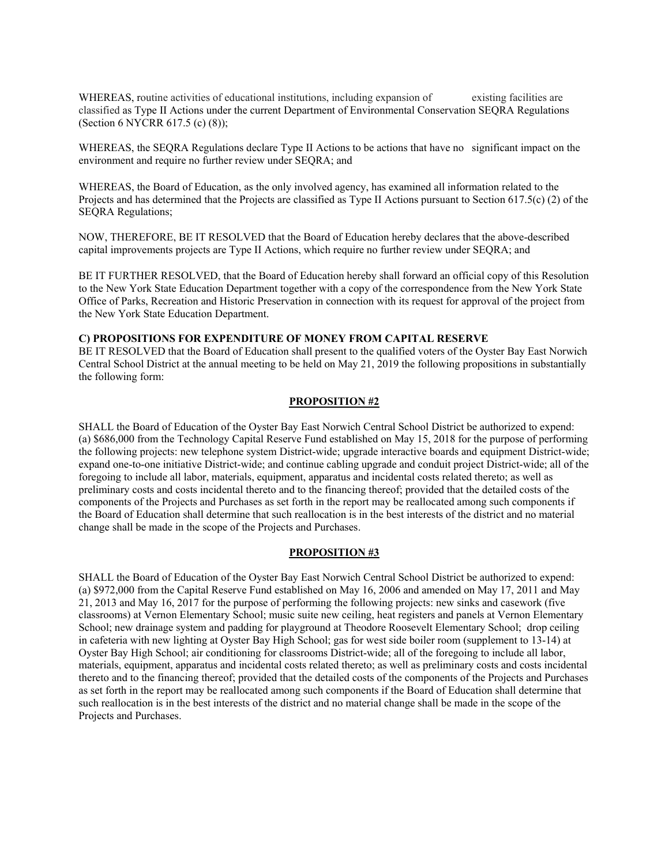WHEREAS, routine activities of educational institutions, including expansion of existing facilities are classified as Type II Actions under the current Department of Environmental Conservation SEQRA Regulations (Section 6 NYCRR 617.5 (c) (8));

WHEREAS, the SEQRA Regulations declare Type II Actions to be actions that have no significant impact on the environment and require no further review under SEQRA; and

WHEREAS, the Board of Education, as the only involved agency, has examined all information related to the Projects and has determined that the Projects are classified as Type II Actions pursuant to Section 617.5(c) (2) of the SEQRA Regulations;

NOW, THEREFORE, BE IT RESOLVED that the Board of Education hereby declares that the above-described capital improvements projects are Type II Actions, which require no further review under SEQRA; and

BE IT FURTHER RESOLVED, that the Board of Education hereby shall forward an official copy of this Resolution to the New York State Education Department together with a copy of the correspondence from the New York State Office of Parks, Recreation and Historic Preservation in connection with its request for approval of the project from the New York State Education Department.

#### **C) PROPOSITIONS FOR EXPENDITURE OF MONEY FROM CAPITAL RESERVE**

BE IT RESOLVED that the Board of Education shall present to the qualified voters of the Oyster Bay East Norwich Central School District at the annual meeting to be held on May 21, 2019 the following propositions in substantially the following form:

### **PROPOSITION #2**

SHALL the Board of Education of the Oyster Bay East Norwich Central School District be authorized to expend: (a) \$686,000 from the Technology Capital Reserve Fund established on May 15, 2018 for the purpose of performing the following projects: new telephone system District-wide; upgrade interactive boards and equipment District-wide; expand one-to-one initiative District-wide; and continue cabling upgrade and conduit project District-wide; all of the foregoing to include all labor, materials, equipment, apparatus and incidental costs related thereto; as well as preliminary costs and costs incidental thereto and to the financing thereof; provided that the detailed costs of the components of the Projects and Purchases as set forth in the report may be reallocated among such components if the Board of Education shall determine that such reallocation is in the best interests of the district and no material change shall be made in the scope of the Projects and Purchases.

#### **PROPOSITION #3**

SHALL the Board of Education of the Oyster Bay East Norwich Central School District be authorized to expend: (a) \$972,000 from the Capital Reserve Fund established on May 16, 2006 and amended on May 17, 2011 and May 21, 2013 and May 16, 2017 for the purpose of performing the following projects: new sinks and casework (five classrooms) at Vernon Elementary School; music suite new ceiling, heat registers and panels at Vernon Elementary School; new drainage system and padding for playground at Theodore Roosevelt Elementary School; drop ceiling in cafeteria with new lighting at Oyster Bay High School; gas for west side boiler room (supplement to 13-14) at Oyster Bay High School; air conditioning for classrooms District-wide; all of the foregoing to include all labor, materials, equipment, apparatus and incidental costs related thereto; as well as preliminary costs and costs incidental thereto and to the financing thereof; provided that the detailed costs of the components of the Projects and Purchases as set forth in the report may be reallocated among such components if the Board of Education shall determine that such reallocation is in the best interests of the district and no material change shall be made in the scope of the Projects and Purchases.